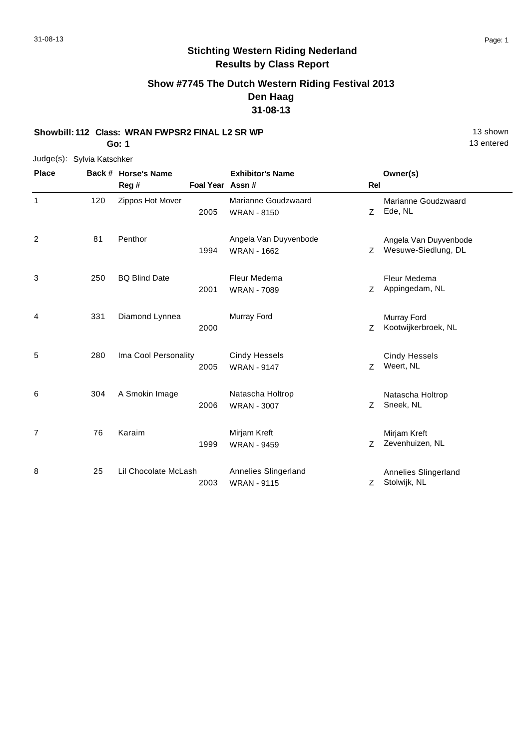### **Show #7745 The Dutch Western Riding Festival 2013 Den Haag 31-08-13**

### **Showbill: 112 Class: WRAN FWPSR2 FINAL L2 SR WP** 13 Shown

**Go: 1**

Judge(s): Sylvia Katschker

| <b>Place</b>   |     | Back # Horse's Name  |                  | <b>Exhibitor's Name</b> |            | Owner(s)              |
|----------------|-----|----------------------|------------------|-------------------------|------------|-----------------------|
|                |     | Reg#                 | Foal Year Assn # |                         | <b>Rel</b> |                       |
| 1              | 120 | Zippos Hot Mover     |                  | Marianne Goudzwaard     |            | Marianne Goudzwaard   |
|                |     |                      | 2005             | <b>WRAN - 8150</b>      | Z          | Ede, NL               |
| 2              | 81  | Penthor              |                  | Angela Van Duyvenbode   |            | Angela Van Duyvenbode |
|                |     |                      | 1994             | <b>WRAN - 1662</b>      | Ζ          | Wesuwe-Siedlung, DL   |
| 3              | 250 | <b>BQ Blind Date</b> |                  | Fleur Medema            |            | Fleur Medema          |
|                |     |                      | 2001             | <b>WRAN - 7089</b>      | Ζ          | Appingedam, NL        |
| 4              | 331 | Diamond Lynnea       |                  | Murray Ford             |            | Murray Ford           |
|                |     |                      | 2000             |                         | Z          | Kootwijkerbroek, NL   |
| 5              | 280 | Ima Cool Personality |                  | <b>Cindy Hessels</b>    |            | <b>Cindy Hessels</b>  |
|                |     |                      | 2005             | <b>WRAN - 9147</b>      | Z          | Weert, NL             |
| 6              | 304 | A Smokin Image       |                  | Natascha Holtrop        |            | Natascha Holtrop      |
|                |     |                      | 2006             | <b>WRAN - 3007</b>      | Z.         | Sneek, NL             |
| $\overline{7}$ | 76  | Karaim               |                  | Mirjam Kreft            |            | Mirjam Kreft          |
|                |     |                      | 1999             | <b>WRAN - 9459</b>      | Ζ          | Zevenhuizen, NL       |
| 8              | 25  | Lil Chocolate McLash |                  | Annelies Slingerland    |            | Annelies Slingerland  |
|                |     |                      | 2003             | <b>WRAN - 9115</b>      | Z          | Stolwijk, NL          |

13 entered

 $\overline{\phantom{0}}$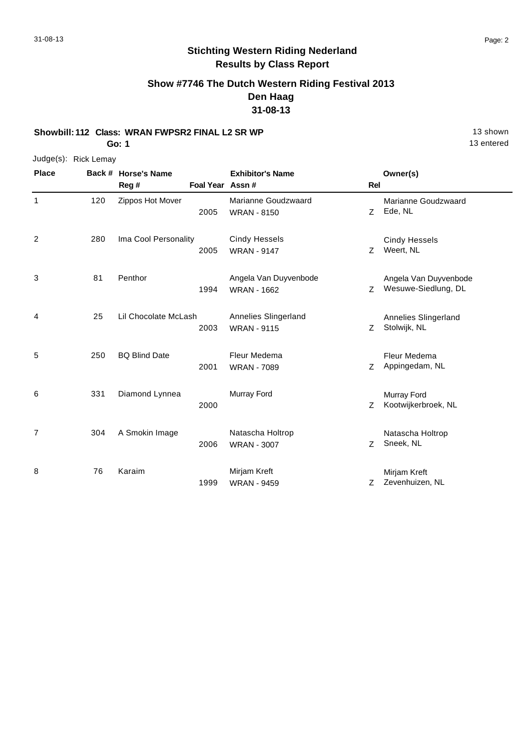### **Show #7746 The Dutch Western Riding Festival 2013 Den Haag 31-08-13**

**Showbill: 112 Class: WRAN FWPSR2 FINAL L2 SR WP** 13 Shown

**Go: 1**

Judge(s): Rick Lemay

| <b>Place</b>   |     | Back # Horse's Name  |                 | <b>Exhibitor's Name</b> |     | Owner(s)              |
|----------------|-----|----------------------|-----------------|-------------------------|-----|-----------------------|
|                |     | Reg#                 | Foal Year Assn# |                         | Rel |                       |
| 1              | 120 | Zippos Hot Mover     |                 | Marianne Goudzwaard     |     | Marianne Goudzwaard   |
|                |     |                      | 2005            | <b>WRAN - 8150</b>      | Z   | Ede, NL               |
| 2              | 280 | Ima Cool Personality |                 | <b>Cindy Hessels</b>    |     | <b>Cindy Hessels</b>  |
|                |     |                      | 2005            | <b>WRAN - 9147</b>      | Z   | Weert, NL             |
| 3              | 81  | Penthor              |                 | Angela Van Duyvenbode   |     | Angela Van Duyvenbode |
|                |     |                      | 1994            | <b>WRAN - 1662</b>      | Z   | Wesuwe-Siedlung, DL   |
| 4              | 25  | Lil Chocolate McLash |                 | Annelies Slingerland    |     | Annelies Slingerland  |
|                |     |                      | 2003            | <b>WRAN - 9115</b>      | Z   | Stolwijk, NL          |
| 5              | 250 | <b>BQ Blind Date</b> |                 | Fleur Medema            |     | Fleur Medema          |
|                |     |                      | 2001            | <b>WRAN - 7089</b>      | Z   | Appingedam, NL        |
| 6              | 331 | Diamond Lynnea       |                 | Murray Ford             |     | Murray Ford           |
|                |     |                      | 2000            |                         | Z   | Kootwijkerbroek, NL   |
| $\overline{7}$ | 304 | A Smokin Image       |                 | Natascha Holtrop        |     | Natascha Holtrop      |
|                |     |                      | 2006            | <b>WRAN - 3007</b>      | Z   | Sneek, NL             |
| 8              | 76  | Karaim               |                 | Mirjam Kreft            |     | Mirjam Kreft          |
|                |     |                      | 1999            | <b>WRAN - 9459</b>      | Z   | Zevenhuizen, NL       |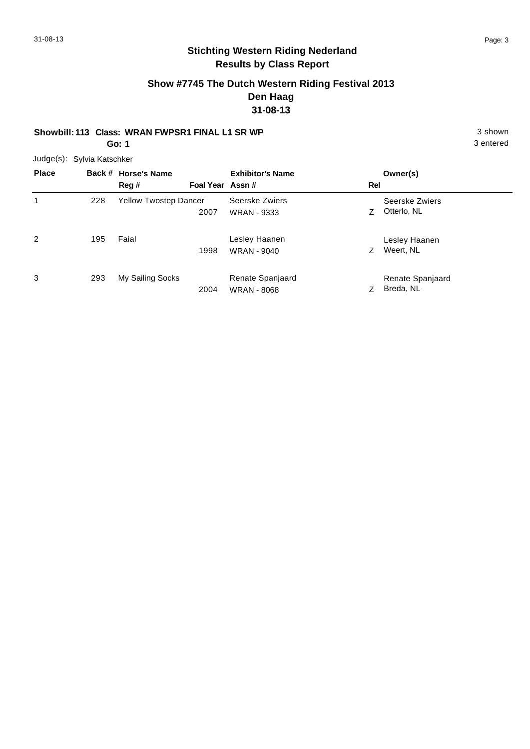### **Show #7745 The Dutch Western Riding Festival 2013 Den Haag 31-08-13**

#### **Showbill: 113 Class: WRAN FWPSR1 FINAL L1 SR WP** 3 shown **Go: 1**

Judge(s): Sylvia Katschker

| <b>Place</b>   |     | Back # Horse's Name<br>Reg # | Foal Year Assn# | <b>Exhibitor's Name</b>                | Rel | Owner(s)                      |
|----------------|-----|------------------------------|-----------------|----------------------------------------|-----|-------------------------------|
| 1              | 228 | Yellow Twostep Dancer        | 2007            | Seerske Zwiers<br><b>WRAN - 9333</b>   | Ζ   | Seerske Zwiers<br>Otterlo, NL |
| $\overline{2}$ | 195 | Faial                        | 1998            | Lesley Haanen<br><b>WRAN - 9040</b>    | Ζ   | Lesley Haanen<br>Weert, NL    |
| 3              | 293 | My Sailing Socks             | 2004            | Renate Spanjaard<br><b>WRAN - 8068</b> |     | Renate Spanjaard<br>Breda, NL |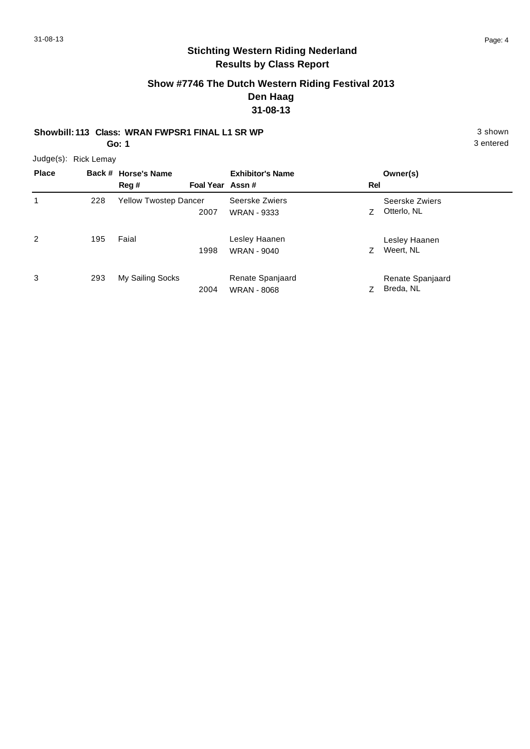# **Stichting Western Riding Nederland Results by Class Report**

### **Show #7746 The Dutch Western Riding Festival 2013 Den Haag 31-08-13**

# **Showbill: 113 Class: WRAN FWPSR1 FINAL L1 SR WP** 3 shown

**Go: 1**

| <b>Place</b>   |     | Back # Horse's Name<br>Reg # | Foal Year Assn# | <b>Exhibitor's Name</b>                | Rel | Owner(s)                      |
|----------------|-----|------------------------------|-----------------|----------------------------------------|-----|-------------------------------|
|                | 228 | Yellow Twostep Dancer        | 2007            | Seerske Zwiers<br><b>WRAN - 9333</b>   | Ζ   | Seerske Zwiers<br>Otterlo, NL |
| $\overline{c}$ | 195 | Faial                        | 1998            | Lesley Haanen<br><b>WRAN - 9040</b>    |     | Lesley Haanen<br>Weert, NL    |
| 3              | 293 | My Sailing Socks             | 2004            | Renate Spanjaard<br><b>WRAN - 8068</b> |     | Renate Spanjaard<br>Breda, NL |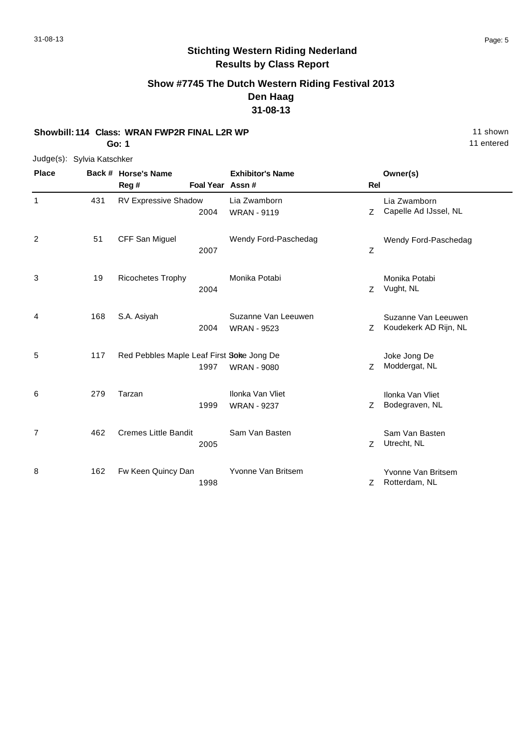#### **Show #7745 The Dutch Western Riding Festival 2013 Den Haag 31-08-13**

#### **Showbill: 114 Class: WRAN FWP2R FINAL L2R WP** 11 Shown

**Go: 1**

# Judge(s): Sylvia Katschker

| <b>Place</b>   |     | Back # Horse's Name                               |                 | <b>Exhibitor's Name</b>                   |             | Owner(s)                                     |
|----------------|-----|---------------------------------------------------|-----------------|-------------------------------------------|-------------|----------------------------------------------|
|                |     | Reg#                                              | Foal Year Assn# |                                           | <b>Rel</b>  |                                              |
| 1              | 431 | RV Expressive Shadow<br>2004                      |                 | Lia Zwamborn<br><b>WRAN - 9119</b>        | Z           | Lia Zwamborn<br>Capelle Ad IJssel, NL        |
| 2              | 51  | CFF San Miguel<br>2007                            |                 | Wendy Ford-Paschedag                      | $\mathsf Z$ | Wendy Ford-Paschedag                         |
| 3              | 19  | Ricochetes Trophy<br>2004                         |                 | Monika Potabi                             | Z           | Monika Potabi<br>Vught, NL                   |
| 4              | 168 | S.A. Asiyah<br>2004                               |                 | Suzanne Van Leeuwen<br><b>WRAN - 9523</b> | Z           | Suzanne Van Leeuwen<br>Koudekerk AD Rijn, NL |
| 5              | 117 | Red Pebbles Maple Leaf First Soke Jong De<br>1997 |                 | <b>WRAN - 9080</b>                        | Z           | Joke Jong De<br>Moddergat, NL                |
| 6              | 279 | Tarzan<br>1999                                    |                 | Ilonka Van Vliet<br><b>WRAN - 9237</b>    | Z           | Ilonka Van Vliet<br>Bodegraven, NL           |
| $\overline{7}$ | 462 | <b>Cremes Little Bandit</b><br>2005               |                 | Sam Van Basten                            | Z           | Sam Van Basten<br>Utrecht, NL                |
| 8              | 162 | Fw Keen Quincy Dan<br>1998                        |                 | Yvonne Van Britsem                        | Z           | Yvonne Van Britsem<br>Rotterdam, NL          |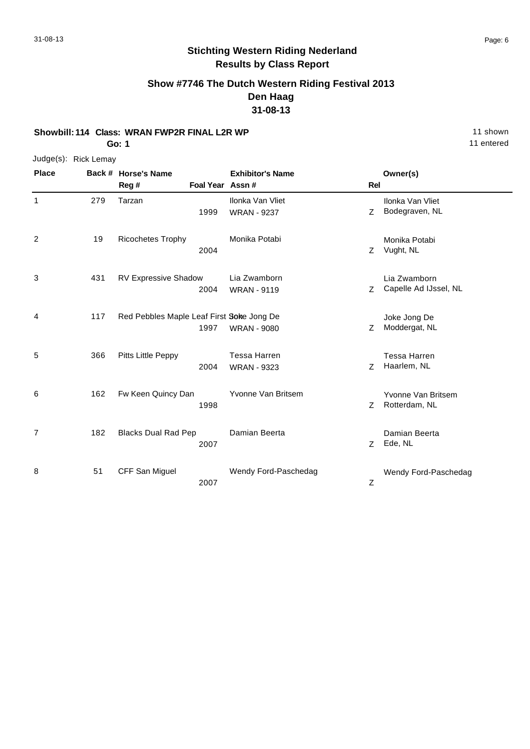### **Show #7746 The Dutch Western Riding Festival 2013 Den Haag 31-08-13**

#### **Showbill: 114 Class: WRAN FWP2R FINAL L2R WP** 11 Shown

**Go: 1**

| Judge(s): | <b>Rick Lemay</b> |
|-----------|-------------------|
|-----------|-------------------|

| <b>Place</b> |     | Back # Horse's Name<br>Reg #              |      | <b>Exhibitor's Name</b><br>Foal Year Assn # | Rel | Owner(s)                              |
|--------------|-----|-------------------------------------------|------|---------------------------------------------|-----|---------------------------------------|
| $\mathbf 1$  | 279 | Tarzan                                    | 1999 | Ilonka Van Vliet<br><b>WRAN - 9237</b>      | Z   | Ilonka Van Vliet<br>Bodegraven, NL    |
| 2            | 19  | <b>Ricochetes Trophy</b>                  | 2004 | Monika Potabi                               | Z   | Monika Potabi<br>Vught, NL            |
| 3            | 431 | <b>RV Expressive Shadow</b>               | 2004 | Lia Zwamborn<br><b>WRAN - 9119</b>          | Z   | Lia Zwamborn<br>Capelle Ad IJssel, NL |
| 4            | 117 | Red Pebbles Maple Leaf First Soke Jong De | 1997 | <b>WRAN - 9080</b>                          | Z   | Joke Jong De<br>Moddergat, NL         |
| 5            | 366 | Pitts Little Peppy                        | 2004 | <b>Tessa Harren</b><br><b>WRAN - 9323</b>   | Z   | <b>Tessa Harren</b><br>Haarlem, NL    |
| 6            | 162 | Fw Keen Quincy Dan                        | 1998 | Yvonne Van Britsem                          | Z   | Yvonne Van Britsem<br>Rotterdam, NL   |
| 7            | 182 | <b>Blacks Dual Rad Pep</b>                | 2007 | Damian Beerta                               | Z   | Damian Beerta<br>Ede, NL              |
| 8            | 51  | CFF San Miguel                            | 2007 | Wendy Ford-Paschedag                        | Ζ   | Wendy Ford-Paschedag                  |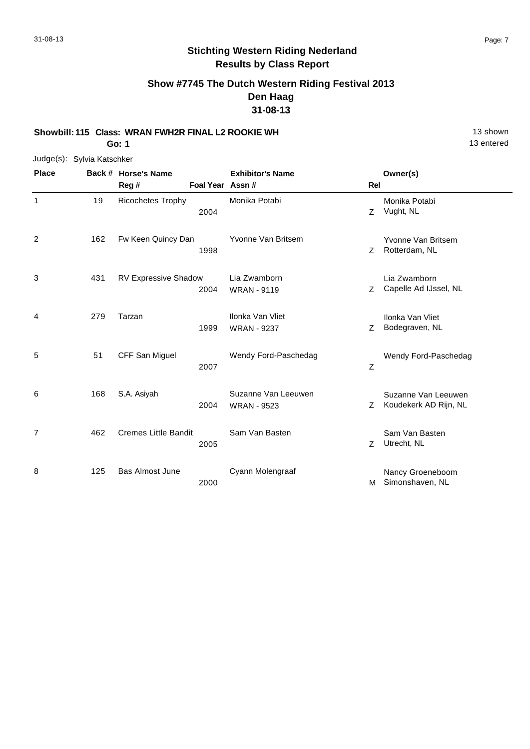# **Stichting Western Riding Nederland Results by Class Report**

### **Show #7745 The Dutch Western Riding Festival 2013 Den Haag 31-08-13**

**Showbill: 115 Class: WRAN FWH2R FINAL L2 ROOKIE WH** 13 Shown

**Go: 1**

|              | Judge(s): Sylvia Katschker |  |
|--------------|----------------------------|--|
| <b>Place</b> | Back # Horse's Name        |  |

| <b>Place</b> |     | Back # Horse's Name         |                  | <b>Exhibitor's Name</b>                   |             | Owner(s)                                     |
|--------------|-----|-----------------------------|------------------|-------------------------------------------|-------------|----------------------------------------------|
|              |     | Reg#                        | Foal Year Assn # |                                           | Rel         |                                              |
| 1            | 19  | <b>Ricochetes Trophy</b>    | 2004             | Monika Potabi                             | Z           | Monika Potabi<br>Vught, NL                   |
| 2            | 162 | Fw Keen Quincy Dan          | 1998             | Yvonne Van Britsem                        | Z.          | Yvonne Van Britsem<br>Rotterdam, NL          |
| 3            | 431 | RV Expressive Shadow        | 2004             | Lia Zwamborn<br><b>WRAN - 9119</b>        | Z           | Lia Zwamborn<br>Capelle Ad IJssel, NL        |
| 4            | 279 | Tarzan                      | 1999             | Ilonka Van Vliet<br><b>WRAN - 9237</b>    | Ζ           | Ilonka Van Vliet<br>Bodegraven, NL           |
| 5            | 51  | CFF San Miguel              | 2007             | Wendy Ford-Paschedag                      | $\mathsf Z$ | Wendy Ford-Paschedag                         |
| 6            | 168 | S.A. Asiyah                 | 2004             | Suzanne Van Leeuwen<br><b>WRAN - 9523</b> | Z           | Suzanne Van Leeuwen<br>Koudekerk AD Rijn, NL |
| 7            | 462 | <b>Cremes Little Bandit</b> | 2005             | Sam Van Basten                            | Z           | Sam Van Basten<br>Utrecht, NL                |
| 8            | 125 | <b>Bas Almost June</b>      | 2000             | Cyann Molengraaf                          | м           | Nancy Groeneboom<br>Simonshaven, NL          |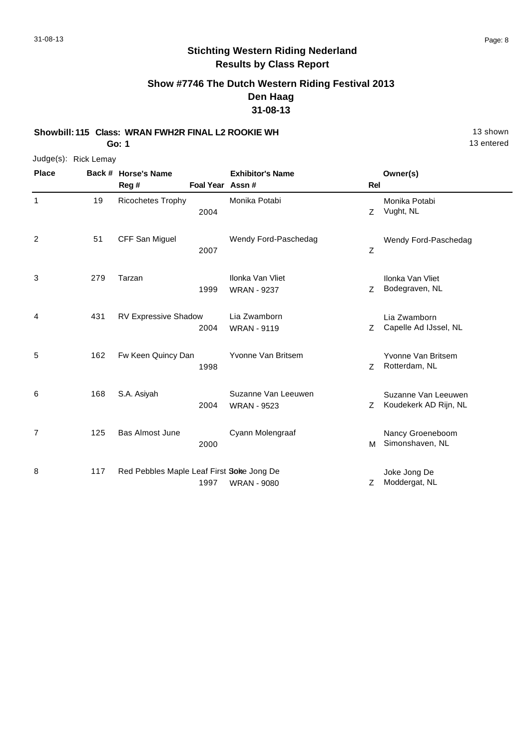### **Show #7746 The Dutch Western Riding Festival 2013 Den Haag 31-08-13**

**Showbill: 115 Class: WRAN FWH2R FINAL L2 ROOKIE WH** 13 shown

**Go: 1**

Judge(s): Rick Lemay **Back # Horse's Name Place Owner(s) Reg # Assn # Foal Year Rel Exhibitor's Name** 1 Z 2004 Vught, NL Monika Potabi 19 Ricochetes Trophy Monika Potabi 2 Z Wendy Ford-Paschedag 2007 51 CFF San Miguel Wendy Ford-Paschedag 3 1999 WRAN - 9237 Z Bodegraven, NL Ilonka Van Vliet Tarzan Ilonka Van Vliet WRAN - 9237 279 4 2004 WRAN - 9119 Capelle Ad IJssel, NL Lia Zwamborn RV Expressive Shadow Lia Zwamborn WRAN - 9119 431 5 1998 **Z** Rotterdam, NL Yvonne Van Britsem 162 Fw Keen Quincy Dan Yvonne Van Britsem 6 2004 WRAN - 9523 **ZEP STAND AREA** Z Koudekerk AD Rijn, NL Suzanne Van Leeuwen S.A. Asiyah Suzanne Van Leeuwen WRAN - 9523 168 7 M 2000 Simonshaven, NL Nancy Groeneboom 125 Bas Almost June Cyann Molengraaf 8 1997 WRAN - 9080 2 Moddergat, NL Joke Jong De Red Pebbles Maple Leaf First Soke Jong De WRAN - 9080 117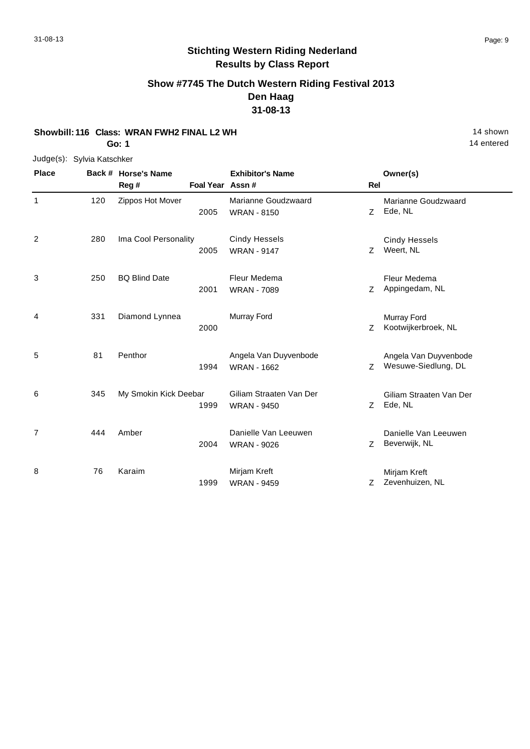### **Show #7745 The Dutch Western Riding Festival 2013 Den Haag 31-08-13**

#### **Showbill: 116 Class: WRAN FWH2 FINAL L2 WH** 14 shown

**Go: 1**

#### Judge(s): Sylvia Katschker

| <b>Place</b> |     | Back # Horse's Name   |                  | <b>Exhibitor's Name</b> |            | Owner(s)                |
|--------------|-----|-----------------------|------------------|-------------------------|------------|-------------------------|
|              |     | Reg #                 | Foal Year Assn # |                         | <b>Rel</b> |                         |
| 1            | 120 | Zippos Hot Mover      |                  | Marianne Goudzwaard     |            | Marianne Goudzwaard     |
|              |     |                       | 2005             | <b>WRAN - 8150</b>      | Z          | Ede, NL                 |
| 2            | 280 | Ima Cool Personality  |                  | <b>Cindy Hessels</b>    |            | <b>Cindy Hessels</b>    |
|              |     |                       | 2005             | <b>WRAN - 9147</b>      | Z          | Weert, NL               |
| 3            | 250 | <b>BQ Blind Date</b>  |                  | Fleur Medema            |            | Fleur Medema            |
|              |     |                       | 2001             | <b>WRAN - 7089</b>      | Z          | Appingedam, NL          |
| 4            | 331 | Diamond Lynnea        |                  | Murray Ford             |            | Murray Ford             |
|              |     |                       | 2000             |                         | Z          | Kootwijkerbroek, NL     |
| 5            | 81  | Penthor               |                  | Angela Van Duyvenbode   |            | Angela Van Duyvenbode   |
|              |     |                       | 1994             | <b>WRAN - 1662</b>      | Z.         | Wesuwe-Siedlung, DL     |
| 6            | 345 | My Smokin Kick Deebar |                  | Giliam Straaten Van Der |            | Giliam Straaten Van Der |
|              |     |                       | 1999             | <b>WRAN - 9450</b>      | Z          | Ede, NL                 |
| 7            | 444 | Amber                 |                  | Danielle Van Leeuwen    |            | Danielle Van Leeuwen    |
|              |     |                       | 2004             | <b>WRAN - 9026</b>      | Z.         | Beverwijk, NL           |
| 8            | 76  | Karaim                |                  | Mirjam Kreft            |            | Mirjam Kreft            |
|              |     |                       | 1999             | <b>WRAN - 9459</b>      | Ζ          | Zevenhuizen, NL         |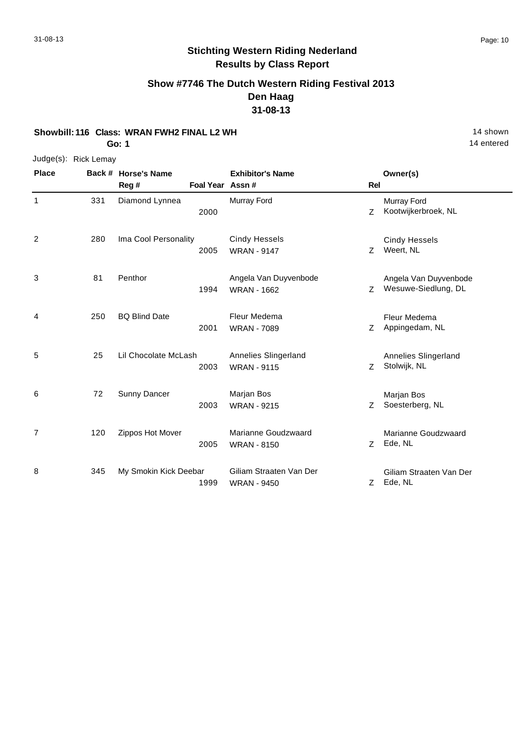# **Stichting Western Riding Nederland Results by Class Report**

**Show #7746 The Dutch Western Riding Festival 2013 Den Haag 31-08-13**

#### **Showbill: 116 Class: WRAN FWH2 FINAL L2 WH** 14 shown

**Go: 1**

Judge(s): Rick Lemay

| <b>Place</b>   |     | Back # Horse's Name<br>Reg# | Foal Year Assn# | <b>Exhibitor's Name</b>                       | <b>Rel</b> | Owner(s)                                     |
|----------------|-----|-----------------------------|-----------------|-----------------------------------------------|------------|----------------------------------------------|
| 1              | 331 | Diamond Lynnea              | 2000            | Murray Ford                                   | Z          | Murray Ford<br>Kootwijkerbroek, NL           |
| 2              | 280 | Ima Cool Personality        | 2005            | <b>Cindy Hessels</b><br><b>WRAN - 9147</b>    | Z          | <b>Cindy Hessels</b><br>Weert, NL            |
| 3              | 81  | Penthor                     | 1994            | Angela Van Duyvenbode<br><b>WRAN - 1662</b>   | Z          | Angela Van Duyvenbode<br>Wesuwe-Siedlung, DL |
| 4              | 250 | <b>BQ Blind Date</b>        | 2001            | Fleur Medema<br><b>WRAN - 7089</b>            | Z          | Fleur Medema<br>Appingedam, NL               |
| 5              | 25  | Lil Chocolate McLash        | 2003            | Annelies Slingerland<br><b>WRAN - 9115</b>    | Z          | Annelies Slingerland<br>Stolwijk, NL         |
| 6              | 72  | Sunny Dancer                | 2003            | Marjan Bos<br><b>WRAN - 9215</b>              | Z          | Marjan Bos<br>Soesterberg, NL                |
| $\overline{7}$ | 120 | Zippos Hot Mover            | 2005            | Marianne Goudzwaard<br><b>WRAN - 8150</b>     | Z          | Marianne Goudzwaard<br>Ede, NL               |
| 8              | 345 | My Smokin Kick Deebar       | 1999            | Giliam Straaten Van Der<br><b>WRAN - 9450</b> | Z          | Giliam Straaten Van Der<br>Ede, NL           |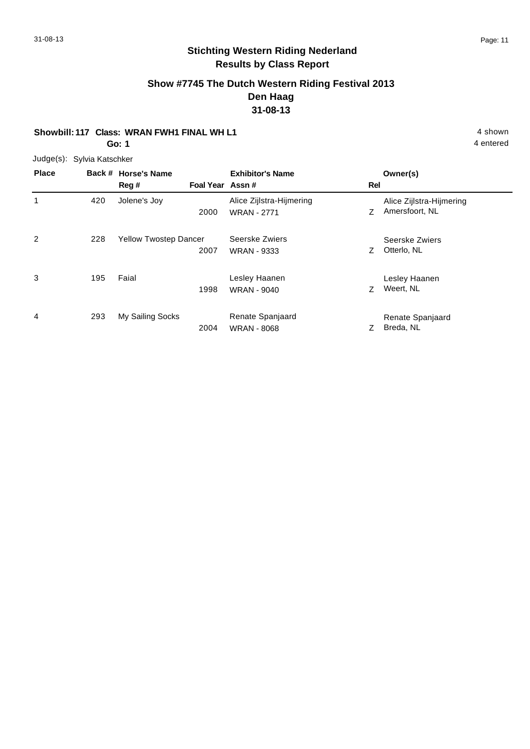# **Stichting Western Riding Nederland Results by Class Report**

#### **Show #7745 The Dutch Western Riding Festival 2013 Den Haag 31-08-13**

#### **Showbill: 117 Class: WRAN FWH1 FINAL WH L1** 4 shown

**Go: 1**

| <b>Place</b> |     | Back # Horse's Name<br>Reg # | Foal Year Assn# | <b>Exhibitor's Name</b>                        | <b>Rel</b> | Owner(s)                                   |
|--------------|-----|------------------------------|-----------------|------------------------------------------------|------------|--------------------------------------------|
| 1            | 420 | Jolene's Joy                 | 2000            | Alice Zijlstra-Hijmering<br><b>WRAN - 2771</b> | Ζ          | Alice Zijlstra-Hijmering<br>Amersfoort, NL |
| 2            | 228 | <b>Yellow Twostep Dancer</b> | 2007            | Seerske Zwiers<br><b>WRAN - 9333</b>           | Ζ          | Seerske Zwiers<br>Otterlo, NL              |
| 3            | 195 | Faial                        | 1998            | Lesley Haanen<br><b>WRAN - 9040</b>            | Z          | Lesley Haanen<br>Weert, NL                 |
| 4            | 293 | My Sailing Socks             | 2004            | Renate Spanjaard<br><b>WRAN - 8068</b>         |            | Renate Spanjaard<br>Breda, NL              |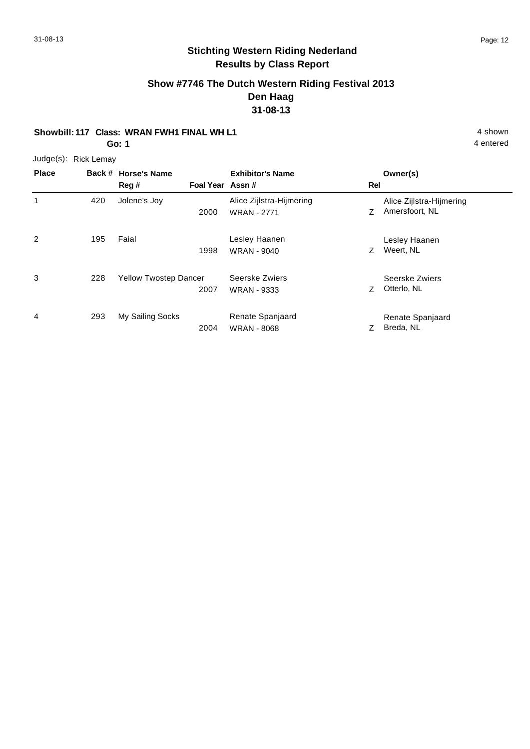# **Stichting Western Riding Nederland Results by Class Report**

### **Show #7746 The Dutch Western Riding Festival 2013 Den Haag 31-08-13**

#### **Showbill: 117 Class: WRAN FWH1 FINAL WH L1** 4 shown

**Go: 1**

Judge(s): Rick Lemay

| <b>Place</b> |     | Back # Horse's Name<br>Reg #<br>Foal Year Assn# | <b>Exhibitor's Name</b>                        | Rel | Owner(s)                                   |
|--------------|-----|-------------------------------------------------|------------------------------------------------|-----|--------------------------------------------|
| 1            | 420 | Jolene's Joy<br>2000                            | Alice Zijlstra-Hijmering<br><b>WRAN - 2771</b> | Z   | Alice Zijlstra-Hijmering<br>Amersfoort, NL |
| 2            | 195 | Faial<br>1998                                   | Lesley Haanen<br><b>WRAN - 9040</b>            | Ζ   | Lesley Haanen<br>Weert, NL                 |
| 3            | 228 | <b>Yellow Twostep Dancer</b><br>2007            | Seerske Zwiers<br><b>WRAN - 9333</b>           | Z   | Seerske Zwiers<br>Otterlo, NL              |
| 4            | 293 | My Sailing Socks<br>2004                        | Renate Spanjaard<br><b>WRAN - 8068</b>         | Ζ   | Renate Spanjaard<br>Breda, NL              |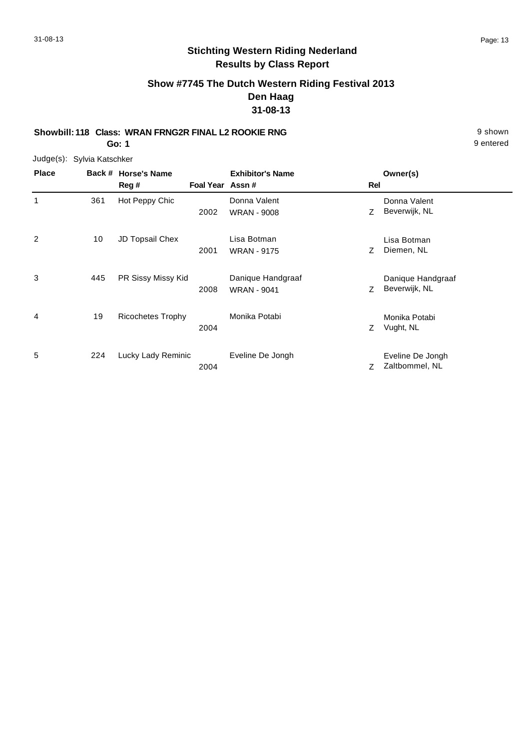# **Stichting Western Riding Nederland Results by Class Report**

# **Show #7745 The Dutch Western Riding Festival 2013 Den Haag 31-08-13**

#### **Showbill: 118 Class: WRAN FRNG2R FINAL L2 ROOKIE RNG** 9 shown **Go: 1**

| <b>Place</b> | Back # | <b>Horse's Name</b><br>Reg # | Foal Year Assn# | <b>Exhibitor's Name</b>                 | Rel | Owner(s)                           |
|--------------|--------|------------------------------|-----------------|-----------------------------------------|-----|------------------------------------|
| 1            | 361    | Hot Peppy Chic               | 2002            | Donna Valent<br><b>WRAN - 9008</b>      | Ζ   | Donna Valent<br>Beverwijk, NL      |
| 2            | 10     | JD Topsail Chex              | 2001            | Lisa Botman<br><b>WRAN - 9175</b>       | Ζ   | Lisa Botman<br>Diemen, NL          |
| 3            | 445    | PR Sissy Missy Kid           | 2008            | Danique Handgraaf<br><b>WRAN - 9041</b> | Z.  | Danique Handgraaf<br>Beverwijk, NL |
| 4            | 19     | <b>Ricochetes Trophy</b>     | 2004            | Monika Potabi                           | Ζ   | Monika Potabi<br>Vught, NL         |
| 5            | 224    | Lucky Lady Reminic           | 2004            | Eveline De Jongh                        | Ζ   | Eveline De Jongh<br>Zaltbommel, NL |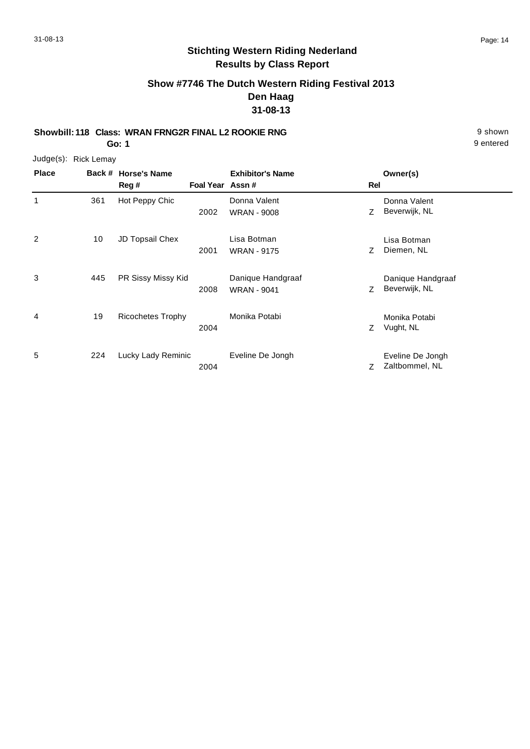# **Stichting Western Riding Nederland Results by Class Report**

# **Show #7746 The Dutch Western Riding Festival 2013 Den Haag 31-08-13**

**Showbill: 118 Class: WRAN FRNG2R FINAL L2 ROOKIE RNG** 9 shown **Go: 1**

| <b>Place</b> | Back # | <b>Horse's Name</b><br>Reg # | Foal Year Assn# | <b>Exhibitor's Name</b>                 | Rel | Owner(s)                           |
|--------------|--------|------------------------------|-----------------|-----------------------------------------|-----|------------------------------------|
| 1            | 361    | Hot Peppy Chic               | 2002            | Donna Valent<br><b>WRAN - 9008</b>      | Z   | Donna Valent<br>Beverwijk, NL      |
| 2            | 10     | JD Topsail Chex              | 2001            | Lisa Botman<br><b>WRAN - 9175</b>       | Ζ   | Lisa Botman<br>Diemen, NL          |
| 3            | 445    | PR Sissy Missy Kid           | 2008            | Danique Handgraaf<br><b>WRAN - 9041</b> | Z   | Danique Handgraaf<br>Beverwijk, NL |
| 4            | 19     | <b>Ricochetes Trophy</b>     | 2004            | Monika Potabi                           | Z   | Monika Potabi<br>Vught, NL         |
| 5            | 224    | Lucky Lady Reminic           | 2004            | Eveline De Jongh                        | Ζ   | Eveline De Jongh<br>Zaltbommel, NL |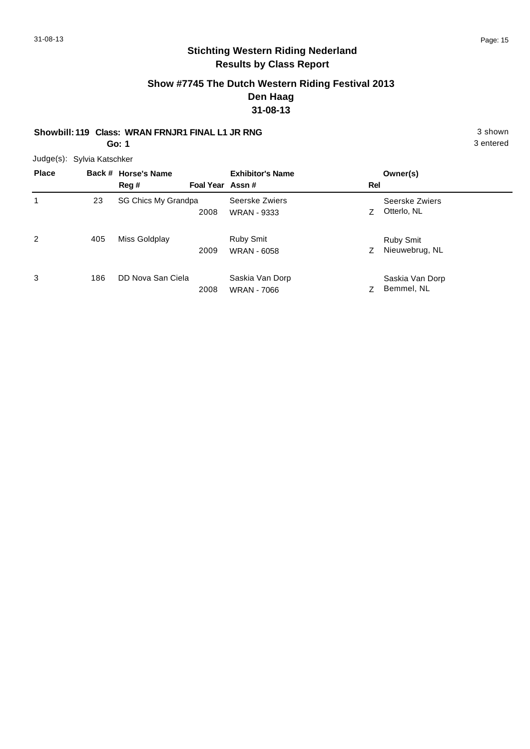# **Stichting Western Riding Nederland Results by Class Report**

### **Show #7745 The Dutch Western Riding Festival 2013 Den Haag 31-08-13**

# **Showbill: 119 Class: WRAN FRNJR1 FINAL L1 JR RNG** 3 shown

**Go: 1**

| <b>Place</b>   |     | Back # Horse's Name<br>Reg # | Foal Year Assn# | <b>Exhibitor's Name</b>               | <b>Rel</b> | Owner(s)                           |
|----------------|-----|------------------------------|-----------------|---------------------------------------|------------|------------------------------------|
|                | 23  | SG Chics My Grandpa          | 2008            | Seerske Zwiers<br><b>WRAN - 9333</b>  |            | Seerske Zwiers<br>Otterlo, NL      |
| $\overline{c}$ | 405 | Miss Goldplay                | 2009            | Ruby Smit<br><b>WRAN - 6058</b>       | Ζ          | <b>Ruby Smit</b><br>Nieuwebrug, NL |
| 3              | 186 | DD Nova San Ciela            | 2008            | Saskia Van Dorp<br><b>WRAN - 7066</b> |            | Saskia Van Dorp<br>Bemmel, NL      |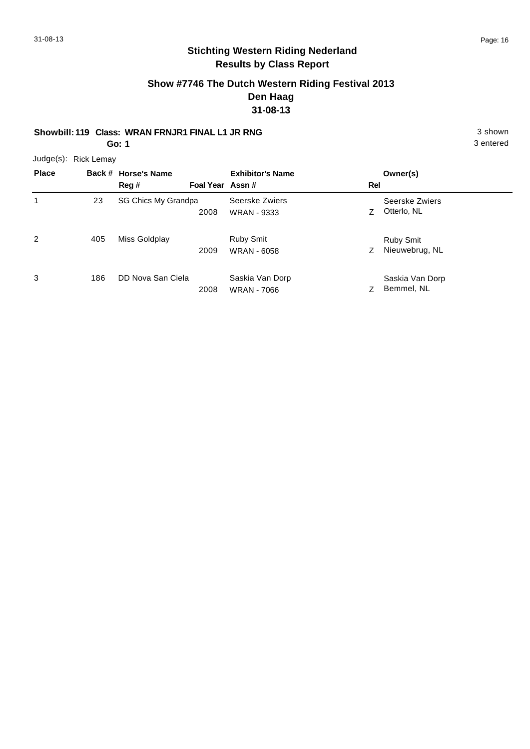# **Stichting Western Riding Nederland Results by Class Report**

### **Show #7746 The Dutch Western Riding Festival 2013 Den Haag 31-08-13**

# **Showbill: 119 Class: WRAN FRNJR1 FINAL L1 JR RNG** 3 shown

**Go: 1**

| <b>Place</b> |     | Back # Horse's Name<br>Reg # | Foal Year Assn# | <b>Exhibitor's Name</b>               | Rel | Owner(s)                           |
|--------------|-----|------------------------------|-----------------|---------------------------------------|-----|------------------------------------|
|              | 23  | SG Chics My Grandpa          | 2008            | Seerske Zwiers<br><b>WRAN - 9333</b>  |     | Seerske Zwiers<br>Otterlo, NL      |
| 2            | 405 | Miss Goldplay                | 2009            | Ruby Smit<br><b>WRAN - 6058</b>       | Z   | <b>Ruby Smit</b><br>Nieuwebrug, NL |
| 3            | 186 | DD Nova San Ciela            | 2008            | Saskia Van Dorp<br><b>WRAN - 7066</b> |     | Saskia Van Dorp<br>Bemmel, NL      |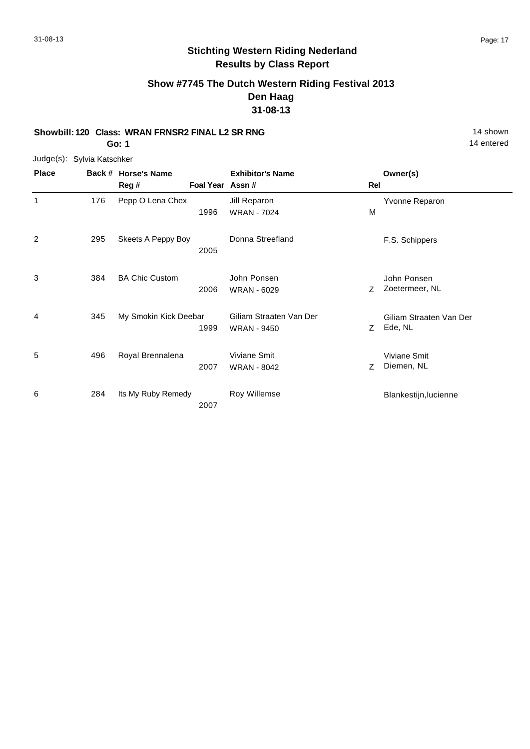# **Stichting Western Riding Nederland Results by Class Report**

#### **Show #7745 The Dutch Western Riding Festival 2013 Den Haag 31-08-13**

# **Showbill: 120 Class: WRAN FRNSR2 FINAL L2 SR RNG** 14 Shown

**Go: 1**

| <b>Place</b> |     | Back # Horse's Name   |                  | <b>Exhibitor's Name</b> |     | Owner(s)                |
|--------------|-----|-----------------------|------------------|-------------------------|-----|-------------------------|
|              |     | Reg#                  | Foal Year Assn # |                         | Rel |                         |
| 1            | 176 | Pepp O Lena Chex      |                  | Jill Reparon            |     | Yvonne Reparon          |
|              |     |                       | 1996             | <b>WRAN - 7024</b>      | M   |                         |
| 2            | 295 | Skeets A Peppy Boy    |                  | Donna Streefland        |     | F.S. Schippers          |
|              |     |                       | 2005             |                         |     |                         |
| 3            | 384 | <b>BA Chic Custom</b> |                  | John Ponsen             |     | John Ponsen             |
|              |     |                       | 2006             | <b>WRAN - 6029</b>      | Z   | Zoetermeer, NL          |
| 4            | 345 | My Smokin Kick Deebar |                  | Giliam Straaten Van Der |     | Giliam Straaten Van Der |
|              |     |                       | 1999             | <b>WRAN - 9450</b>      | Z.  | Ede, NL                 |
| 5            | 496 | Royal Brennalena      |                  | Viviane Smit            |     | Viviane Smit            |
|              |     |                       | 2007             | <b>WRAN - 8042</b>      | Z.  | Diemen, NL              |
|              |     |                       |                  |                         |     |                         |
| 6            | 284 | Its My Ruby Remedy    |                  | Roy Willemse            |     | Blankestijn, lucienne   |
|              |     |                       | 2007             |                         |     |                         |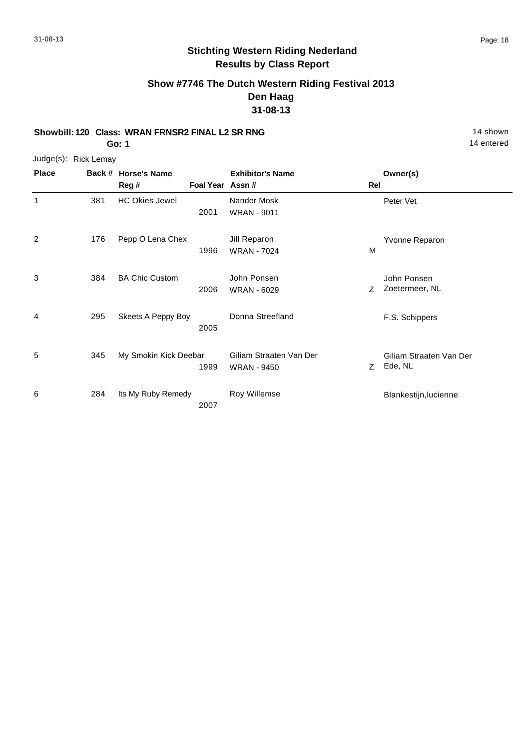# **Stichting Western Riding Nederland Results by Class Report**

**Show #7746 The Dutch Western Riding Festival 2013 Den Haag 31-08-13**

#### **Showbill: 120 Class: WRAN FRNSR2 FINAL L2 SR RNG** 14 Shown

**Go: 1**

| <b>Place</b>   |     | Back # Horse's Name<br>Reg # | Foal Year Assn # | <b>Exhibitor's Name</b>                       | Rel | Owner(s)                           |
|----------------|-----|------------------------------|------------------|-----------------------------------------------|-----|------------------------------------|
| $\mathbf{1}$   | 381 | <b>HC Okies Jewel</b>        | 2001             | Nander Mosk<br><b>WRAN - 9011</b>             |     | Peter Vet                          |
| $\overline{2}$ | 176 | Pepp O Lena Chex             | 1996             | Jill Reparon<br><b>WRAN - 7024</b>            | M   | Yvonne Reparon                     |
| 3              | 384 | <b>BA Chic Custom</b>        | 2006             | John Ponsen<br><b>WRAN - 6029</b>             | Z   | John Ponsen<br>Zoetermeer, NL      |
| 4              | 295 | Skeets A Peppy Boy           | 2005             | Donna Streefland                              |     | F.S. Schippers                     |
| 5              | 345 | My Smokin Kick Deebar        | 1999             | Giliam Straaten Van Der<br><b>WRAN - 9450</b> | Z   | Giliam Straaten Van Der<br>Ede, NL |
| 6              | 284 | Its My Ruby Remedy           | 2007             | Roy Willemse                                  |     | Blankestijn, lucienne              |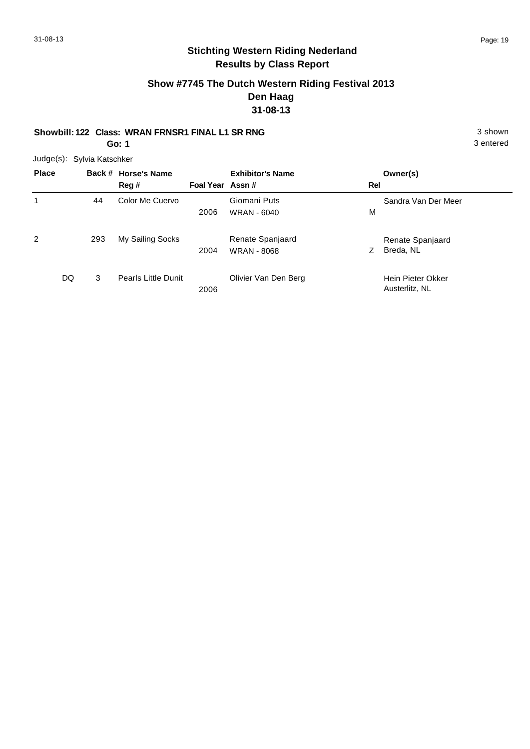# **Stichting Western Riding Nederland Results by Class Report**

### **Show #7745 The Dutch Western Riding Festival 2013 Den Haag 31-08-13**

# **Showbill: 122 Class: WRAN FRNSR1 FINAL L1 SR RNG** 3 shown

**Go: 1**

| <b>Place</b>   |     | Back # Horse's Name<br>Reg # | Foal Year Assn# | <b>Exhibitor's Name</b>                | Rel | Owner(s)                            |
|----------------|-----|------------------------------|-----------------|----------------------------------------|-----|-------------------------------------|
|                | 44  | Color Me Cuervo              | 2006            | Giomani Puts<br><b>WRAN - 6040</b>     | M   | Sandra Van Der Meer                 |
| $\overline{2}$ | 293 | My Sailing Socks             | 2004            | Renate Spanjaard<br><b>WRAN - 8068</b> | Ζ   | Renate Spanjaard<br>Breda, NL       |
| DQ             | 3   | <b>Pearls Little Dunit</b>   | 2006            | Olivier Van Den Berg                   |     | Hein Pieter Okker<br>Austerlitz, NL |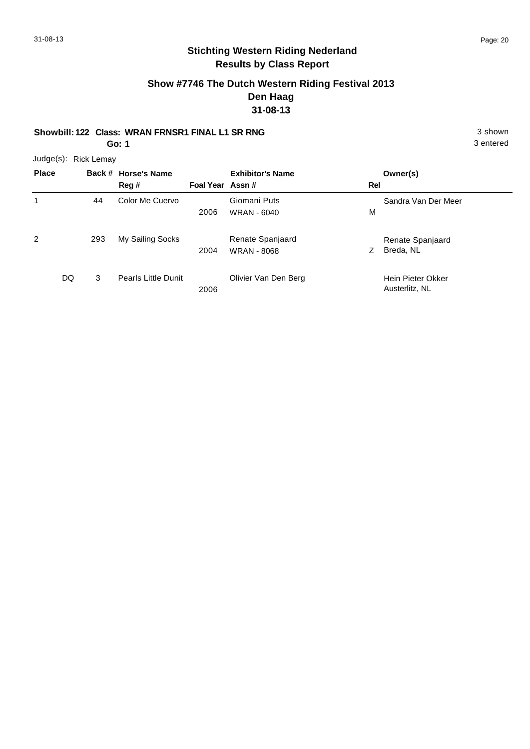# **Stichting Western Riding Nederland Results by Class Report**

### **Show #7746 The Dutch Western Riding Festival 2013 Den Haag 31-08-13**

# **Showbill: 122 Class: WRAN FRNSR1 FINAL L1 SR RNG** 3 shown

**Go: 1**

| <b>Place</b> |     | Back # Horse's Name<br>Reg # | Foal Year Assn# | <b>Exhibitor's Name</b>                | Rel | Owner(s)                            |
|--------------|-----|------------------------------|-----------------|----------------------------------------|-----|-------------------------------------|
|              | 44  | Color Me Cuervo              | 2006            | Giomani Puts<br>WRAN - 6040            | M   | Sandra Van Der Meer                 |
| 2            | 293 | My Sailing Socks             | 2004            | Renate Spanjaard<br><b>WRAN - 8068</b> | Z   | Renate Spanjaard<br>Breda, NL       |
| DQ           | 3   | <b>Pearls Little Dunit</b>   | 2006            | Olivier Van Den Berg                   |     | Hein Pieter Okker<br>Austerlitz, NL |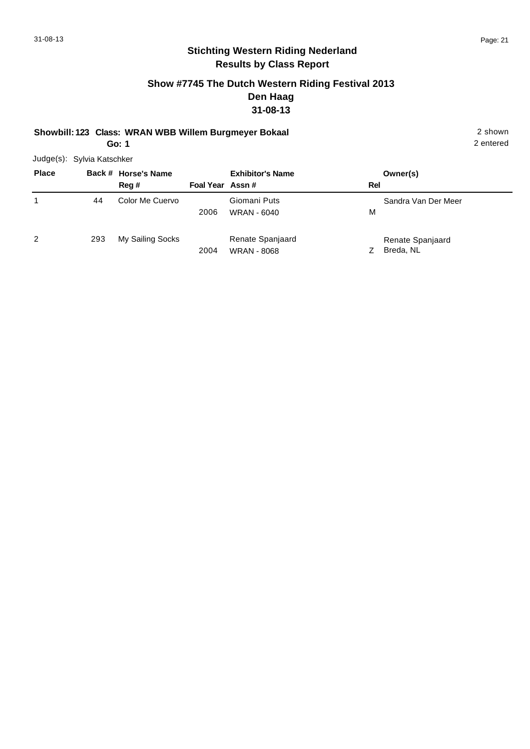# **Stichting Western Riding Nederland Results by Class Report**

### **Show #7745 The Dutch Western Riding Festival 2013 Den Haag 31-08-13**

#### **Showbill: 123 Class: WRAN WBB Willem Burgmeyer Bokaal** 2 shown **Go: 1**

| <b>Place</b> |     | Back # Horse's Name<br>Reg # | Foal Year Assn# | <b>Exhibitor's Name</b>                | Rel | Owner(s)                      |
|--------------|-----|------------------------------|-----------------|----------------------------------------|-----|-------------------------------|
|              | 44  | Color Me Cuervo              | 2006            | Giomani Puts<br><b>WRAN - 6040</b>     | м   | Sandra Van Der Meer           |
| 2            | 293 | My Sailing Socks             | 2004            | Renate Spanjaard<br><b>WRAN - 8068</b> |     | Renate Spanjaard<br>Breda, NL |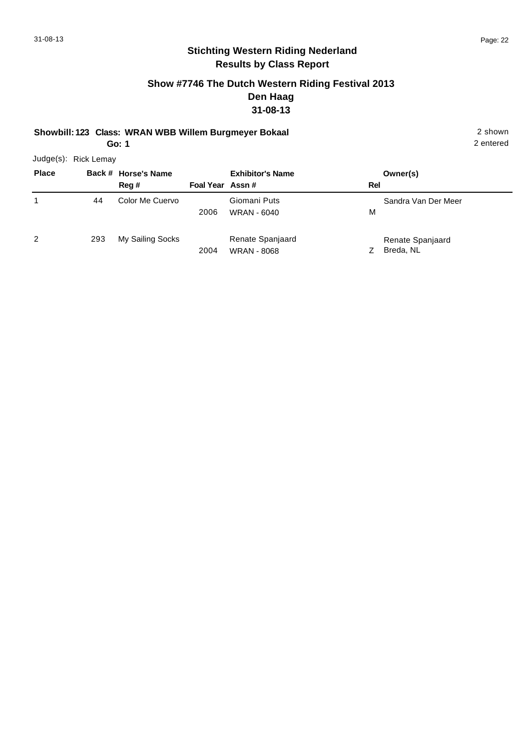# **Stichting Western Riding Nederland Results by Class Report**

### **Show #7746 The Dutch Western Riding Festival 2013 Den Haag 31-08-13**

# **Showbill: 123 Class: WRAN WBB Willem Burgmeyer Bokaal** 2 shown

**Go: 1**

| <b>Place</b> |     | Back # Horse's Name<br>Reg # | Foal Year Assn# | <b>Exhibitor's Name</b>                | Rel | Owner(s)                      |
|--------------|-----|------------------------------|-----------------|----------------------------------------|-----|-------------------------------|
|              | 44  | Color Me Cuervo              | 2006            | Giomani Puts<br>WRAN - 6040            | м   | Sandra Van Der Meer           |
| 2            | 293 | My Sailing Socks             | 2004            | Renate Spanjaard<br><b>WRAN - 8068</b> |     | Renate Spanjaard<br>Breda, NL |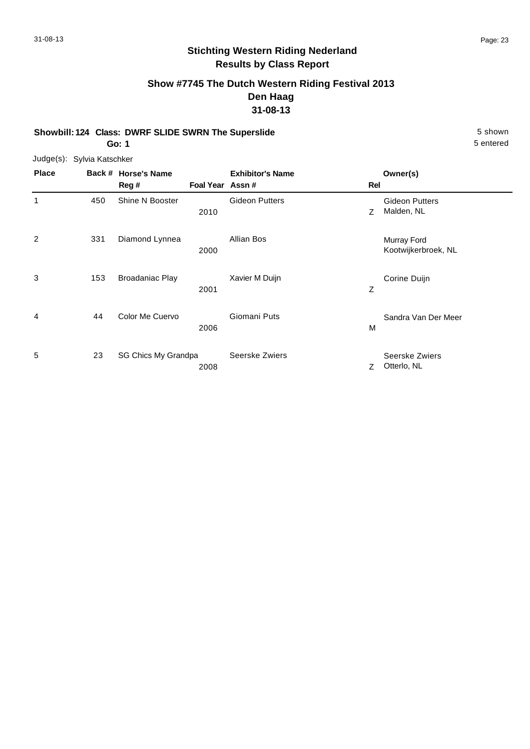# **Stichting Western Riding Nederland Results by Class Report**

# **Show #7745 The Dutch Western Riding Festival 2013 Den Haag 31-08-13**

**Showbill: 124 Class: DWRF SLIDE SWRN The Superslide** 5 Shown 5 shown **Go: 1**

| <b>Place</b> |     | Back # Horse's Name<br>Reg# | Foal Year Assn # | <b>Exhibitor's Name</b> | Rel | Owner(s)                            |
|--------------|-----|-----------------------------|------------------|-------------------------|-----|-------------------------------------|
| 1            | 450 | Shine N Booster             | 2010             | <b>Gideon Putters</b>   | Z   | <b>Gideon Putters</b><br>Malden, NL |
| 2            | 331 | Diamond Lynnea              | 2000             | Allian Bos              |     | Murray Ford<br>Kootwijkerbroek, NL  |
| 3            | 153 | <b>Broadaniac Play</b>      | 2001             | Xavier M Duijn          | Z   | Corine Duijn                        |
| 4            | 44  | Color Me Cuervo             | 2006             | Giomani Puts            | м   | Sandra Van Der Meer                 |
| 5            | 23  | SG Chics My Grandpa         | 2008             | Seerske Zwiers          | Z   | Seerske Zwiers<br>Otterlo, NL       |